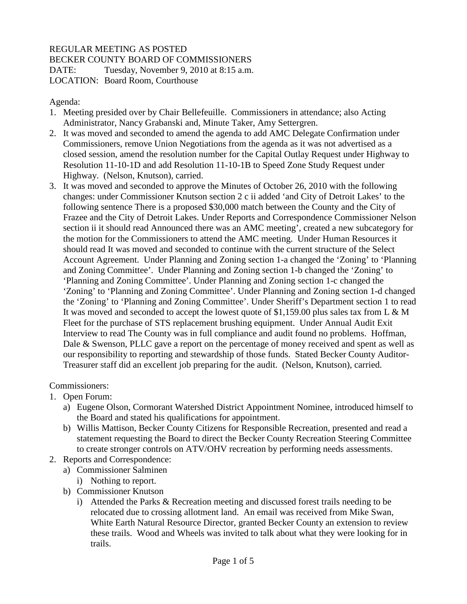## REGULAR MEETING AS POSTED

BECKER COUNTY BOARD OF COMMISSIONERS

DATE: Tuesday, November 9, 2010 at 8:15 a.m. LOCATION: Board Room, Courthouse

Agenda:

- 1. Meeting presided over by Chair Bellefeuille. Commissioners in attendance; also Acting Administrator, Nancy Grabanski and, Minute Taker, Amy Settergren.
- 2. It was moved and seconded to amend the agenda to add AMC Delegate Confirmation under Commissioners, remove Union Negotiations from the agenda as it was not advertised as a closed session, amend the resolution number for the Capital Outlay Request under Highway to Resolution 11-10-1D and add Resolution 11-10-1B to Speed Zone Study Request under Highway. (Nelson, Knutson), carried.
- 3. It was moved and seconded to approve the Minutes of October 26, 2010 with the following changes: under Commissioner Knutson section 2 c ii added 'and City of Detroit Lakes' to the following sentence There is a proposed \$30,000 match between the County and the City of Frazee and the City of Detroit Lakes. Under Reports and Correspondence Commissioner Nelson section ii it should read Announced there was an AMC meeting', created a new subcategory for the motion for the Commissioners to attend the AMC meeting. Under Human Resources it should read It was moved and seconded to continue with the current structure of the Select Account Agreement. Under Planning and Zoning section 1-a changed the 'Zoning' to 'Planning and Zoning Committee'. Under Planning and Zoning section 1-b changed the 'Zoning' to 'Planning and Zoning Committee'. Under Planning and Zoning section 1-c changed the 'Zoning' to 'Planning and Zoning Committee'. Under Planning and Zoning section 1-d changed the 'Zoning' to 'Planning and Zoning Committee'. Under Sheriff's Department section 1 to read It was moved and seconded to accept the lowest quote of \$1,159.00 plus sales tax from L & M Fleet for the purchase of STS replacement brushing equipment. Under Annual Audit Exit Interview to read The County was in full compliance and audit found no problems. Hoffman, Dale & Swenson, PLLC gave a report on the percentage of money received and spent as well as our responsibility to reporting and stewardship of those funds. Stated Becker County Auditor-Treasurer staff did an excellent job preparing for the audit. (Nelson, Knutson), carried.

Commissioners:

- 1. Open Forum:
	- a) Eugene Olson, Cormorant Watershed District Appointment Nominee, introduced himself to the Board and stated his qualifications for appointment.
	- b) Willis Mattison, Becker County Citizens for Responsible Recreation, presented and read a statement requesting the Board to direct the Becker County Recreation Steering Committee to create stronger controls on ATV/OHV recreation by performing needs assessments.
- 2. Reports and Correspondence:
	- a) Commissioner Salminen
		- i) Nothing to report.
	- b) Commissioner Knutson
		- i) Attended the Parks & Recreation meeting and discussed forest trails needing to be relocated due to crossing allotment land. An email was received from Mike Swan, White Earth Natural Resource Director, granted Becker County an extension to review these trails. Wood and Wheels was invited to talk about what they were looking for in trails.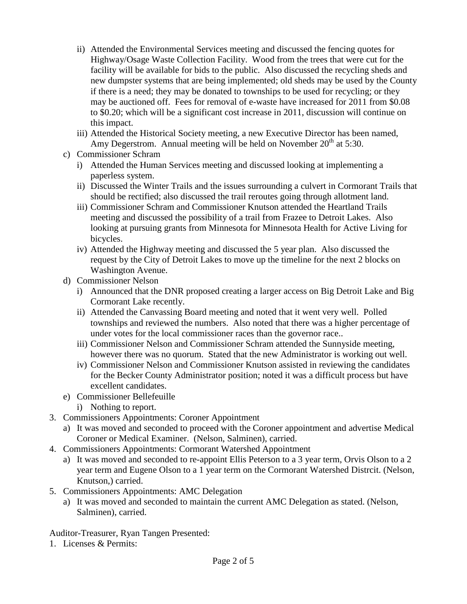- ii) Attended the Environmental Services meeting and discussed the fencing quotes for Highway/Osage Waste Collection Facility. Wood from the trees that were cut for the facility will be available for bids to the public. Also discussed the recycling sheds and new dumpster systems that are being implemented; old sheds may be used by the County if there is a need; they may be donated to townships to be used for recycling; or they may be auctioned off. Fees for removal of e-waste have increased for 2011 from \$0.08 to \$0.20; which will be a significant cost increase in 2011, discussion will continue on this impact.
- iii) Attended the Historical Society meeting, a new Executive Director has been named, Amy Degerstrom. Annual meeting will be held on November  $20<sup>th</sup>$  at 5:30.
- c) Commissioner Schram
	- i) Attended the Human Services meeting and discussed looking at implementing a paperless system.
	- ii) Discussed the Winter Trails and the issues surrounding a culvert in Cormorant Trails that should be rectified; also discussed the trail reroutes going through allotment land.
	- iii) Commissioner Schram and Commissioner Knutson attended the Heartland Trails meeting and discussed the possibility of a trail from Frazee to Detroit Lakes. Also looking at pursuing grants from Minnesota for Minnesota Health for Active Living for bicycles.
	- iv) Attended the Highway meeting and discussed the 5 year plan. Also discussed the request by the City of Detroit Lakes to move up the timeline for the next 2 blocks on Washington Avenue.
- d) Commissioner Nelson
	- i) Announced that the DNR proposed creating a larger access on Big Detroit Lake and Big Cormorant Lake recently.
	- ii) Attended the Canvassing Board meeting and noted that it went very well. Polled townships and reviewed the numbers. Also noted that there was a higher percentage of under votes for the local commissioner races than the governor race..
	- iii) Commissioner Nelson and Commissioner Schram attended the Sunnyside meeting, however there was no quorum. Stated that the new Administrator is working out well.
	- iv) Commissioner Nelson and Commissioner Knutson assisted in reviewing the candidates for the Becker County Administrator position; noted it was a difficult process but have excellent candidates.
- e) Commissioner Bellefeuille
	- i) Nothing to report.
- 3. Commissioners Appointments: Coroner Appointment
	- a) It was moved and seconded to proceed with the Coroner appointment and advertise Medical Coroner or Medical Examiner. (Nelson, Salminen), carried.
- 4. Commissioners Appointments: Cormorant Watershed Appointment
	- a) It was moved and seconded to re-appoint Ellis Peterson to a 3 year term, Orvis Olson to a 2 year term and Eugene Olson to a 1 year term on the Cormorant Watershed Distrcit. (Nelson, Knutson,) carried.
- 5. Commissioners Appointments: AMC Delegation
	- a) It was moved and seconded to maintain the current AMC Delegation as stated. (Nelson, Salminen), carried.

Auditor-Treasurer, Ryan Tangen Presented:

1. Licenses & Permits: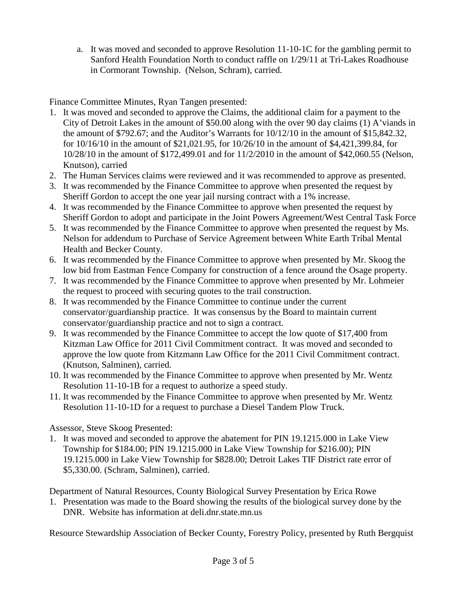a. It was moved and seconded to approve Resolution 11-10-1C for the gambling permit to Sanford Health Foundation North to conduct raffle on 1/29/11 at Tri-Lakes Roadhouse in Cormorant Township. (Nelson, Schram), carried.

Finance Committee Minutes, Ryan Tangen presented:

- 1. It was moved and seconded to approve the Claims, the additional claim for a payment to the City of Detroit Lakes in the amount of \$50.00 along with the over 90 day claims (1) A'viands in the amount of \$792.67; and the Auditor's Warrants for 10/12/10 in the amount of \$15,842.32, for 10/16/10 in the amount of \$21,021.95, for 10/26/10 in the amount of \$4,421,399.84, for 10/28/10 in the amount of \$172,499.01 and for 11/2/2010 in the amount of \$42,060.55 (Nelson, Knutson), carried
- 2. The Human Services claims were reviewed and it was recommended to approve as presented.
- 3. It was recommended by the Finance Committee to approve when presented the request by Sheriff Gordon to accept the one year jail nursing contract with a 1% increase.
- 4. It was recommended by the Finance Committee to approve when presented the request by Sheriff Gordon to adopt and participate in the Joint Powers Agreement/West Central Task Force
- 5. It was recommended by the Finance Committee to approve when presented the request by Ms. Nelson for addendum to Purchase of Service Agreement between White Earth Tribal Mental Health and Becker County.
- 6. It was recommended by the Finance Committee to approve when presented by Mr. Skoog the low bid from Eastman Fence Company for construction of a fence around the Osage property.
- 7. It was recommended by the Finance Committee to approve when presented by Mr. Lohmeier the request to proceed with securing quotes to the trail construction.
- 8. It was recommended by the Finance Committee to continue under the current conservator/guardianship practice. It was consensus by the Board to maintain current conservator/guardianship practice and not to sign a contract.
- 9. It was recommended by the Finance Committee to accept the low quote of \$17,400 from Kitzman Law Office for 2011 Civil Commitment contract. It was moved and seconded to approve the low quote from Kitzmann Law Office for the 2011 Civil Commitment contract. (Knutson, Salminen), carried.
- 10. It was recommended by the Finance Committee to approve when presented by Mr. Wentz Resolution 11-10-1B for a request to authorize a speed study.
- 11. It was recommended by the Finance Committee to approve when presented by Mr. Wentz Resolution 11-10-1D for a request to purchase a Diesel Tandem Plow Truck.

Assessor, Steve Skoog Presented:

1. It was moved and seconded to approve the abatement for PIN 19.1215.000 in Lake View Township for \$184.00; PIN 19.1215.000 in Lake View Township for \$216.00); PIN 19.1215.000 in Lake View Township for \$828.00; Detroit Lakes TIF District rate error of \$5,330.00. (Schram, Salminen), carried.

Department of Natural Resources, County Biological Survey Presentation by Erica Rowe

1. Presentation was made to the Board showing the results of the biological survey done by the DNR. Website has information at deli.dnr.state.mn.us

Resource Stewardship Association of Becker County, Forestry Policy, presented by Ruth Bergquist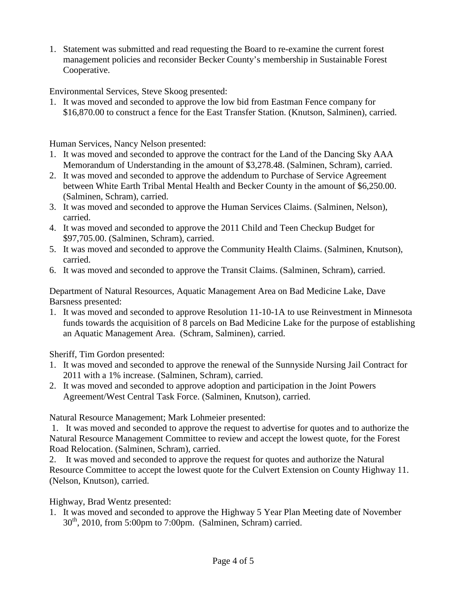1. Statement was submitted and read requesting the Board to re-examine the current forest management policies and reconsider Becker County's membership in Sustainable Forest Cooperative.

Environmental Services, Steve Skoog presented:

1. It was moved and seconded to approve the low bid from Eastman Fence company for \$16,870.00 to construct a fence for the East Transfer Station. (Knutson, Salminen), carried.

Human Services, Nancy Nelson presented:

- 1. It was moved and seconded to approve the contract for the Land of the Dancing Sky AAA Memorandum of Understanding in the amount of \$3,278.48. (Salminen, Schram), carried.
- 2. It was moved and seconded to approve the addendum to Purchase of Service Agreement between White Earth Tribal Mental Health and Becker County in the amount of \$6,250.00. (Salminen, Schram), carried.
- 3. It was moved and seconded to approve the Human Services Claims. (Salminen, Nelson), carried.
- 4. It was moved and seconded to approve the 2011 Child and Teen Checkup Budget for \$97,705.00. (Salminen, Schram), carried.
- 5. It was moved and seconded to approve the Community Health Claims. (Salminen, Knutson), carried.
- 6. It was moved and seconded to approve the Transit Claims. (Salminen, Schram), carried.

Department of Natural Resources, Aquatic Management Area on Bad Medicine Lake, Dave Barsness presented:

1. It was moved and seconded to approve Resolution 11-10-1A to use Reinvestment in Minnesota funds towards the acquisition of 8 parcels on Bad Medicine Lake for the purpose of establishing an Aquatic Management Area. (Schram, Salminen), carried.

Sheriff, Tim Gordon presented:

- 1. It was moved and seconded to approve the renewal of the Sunnyside Nursing Jail Contract for 2011 with a 1% increase. (Salminen, Schram), carried.
- 2. It was moved and seconded to approve adoption and participation in the Joint Powers Agreement/West Central Task Force. (Salminen, Knutson), carried.

Natural Resource Management; Mark Lohmeier presented:

1. It was moved and seconded to approve the request to advertise for quotes and to authorize the Natural Resource Management Committee to review and accept the lowest quote, for the Forest Road Relocation. (Salminen, Schram), carried.

2. It was moved and seconded to approve the request for quotes and authorize the Natural Resource Committee to accept the lowest quote for the Culvert Extension on County Highway 11. (Nelson, Knutson), carried.

Highway, Brad Wentz presented:

1. It was moved and seconded to approve the Highway 5 Year Plan Meeting date of November  $30<sup>th</sup>$ , 2010, from 5:00pm to 7:00pm. (Salminen, Schram) carried.